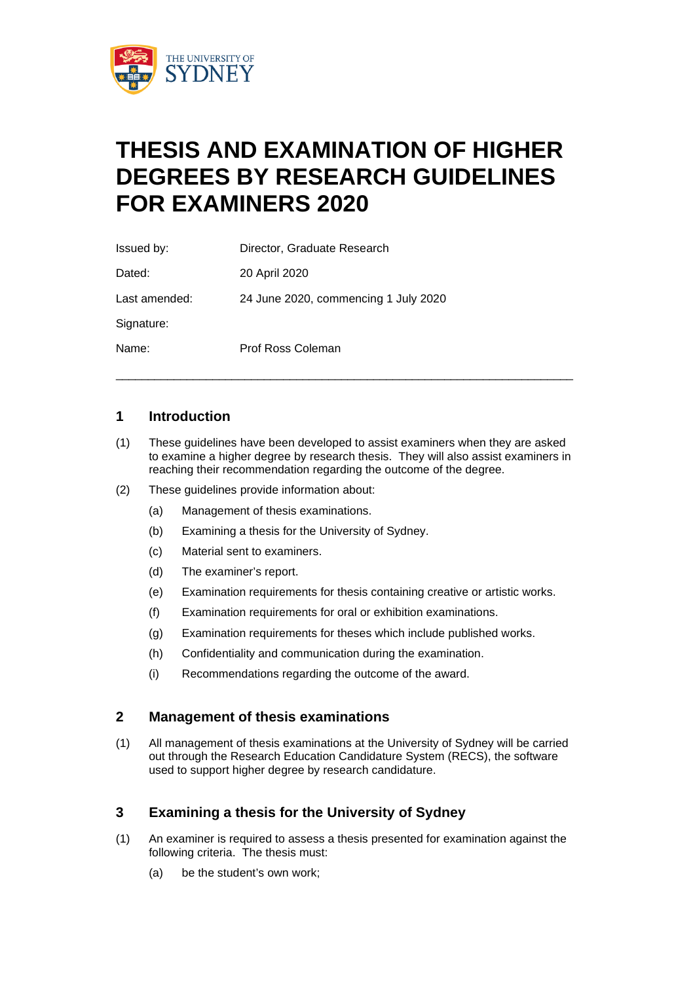

# **THESIS AND EXAMINATION OF HIGHER DEGREES BY RESEARCH GUIDELINES FOR EXAMINERS 2020**

| Issued by:    | Director, Graduate Research          |
|---------------|--------------------------------------|
| Dated:        | 20 April 2020                        |
| Last amended: | 24 June 2020, commencing 1 July 2020 |
| Signature:    |                                      |
| Name:         | Prof Ross Coleman                    |

# **1 Introduction**

(1) These guidelines have been developed to assist examiners when they are asked to examine a higher degree by research thesis. They will also assist examiners in reaching their recommendation regarding the outcome of the degree.

\_\_\_\_\_\_\_\_\_\_\_\_\_\_\_\_\_\_\_\_\_\_\_\_\_\_\_\_\_\_\_\_\_\_\_\_\_\_\_\_\_\_\_\_\_\_\_\_\_\_\_\_\_\_\_\_\_\_\_\_\_\_\_\_\_\_\_\_\_\_\_

- (2) These guidelines provide information about:
	- (a) Management of thesis examinations.
	- (b) Examining a thesis for the University of Sydney.
	- (c) Material sent to examiners.
	- (d) The examiner's report.
	- (e) Examination requirements for thesis containing creative or artistic works.
	- (f) Examination requirements for oral or exhibition examinations.
	- (g) Examination requirements for theses which include published works.
	- (h) Confidentiality and communication during the examination.
	- (i) Recommendations regarding the outcome of the award.

## **2 Management of thesis examinations**

(1) All management of thesis examinations at the University of Sydney will be carried out through the Research Education Candidature System (RECS), the software used to support higher degree by research candidature.

# **3 Examining a thesis for the University of Sydney**

- (1) An examiner is required to assess a thesis presented for examination against the following criteria. The thesis must:
	- (a) be the student's own work;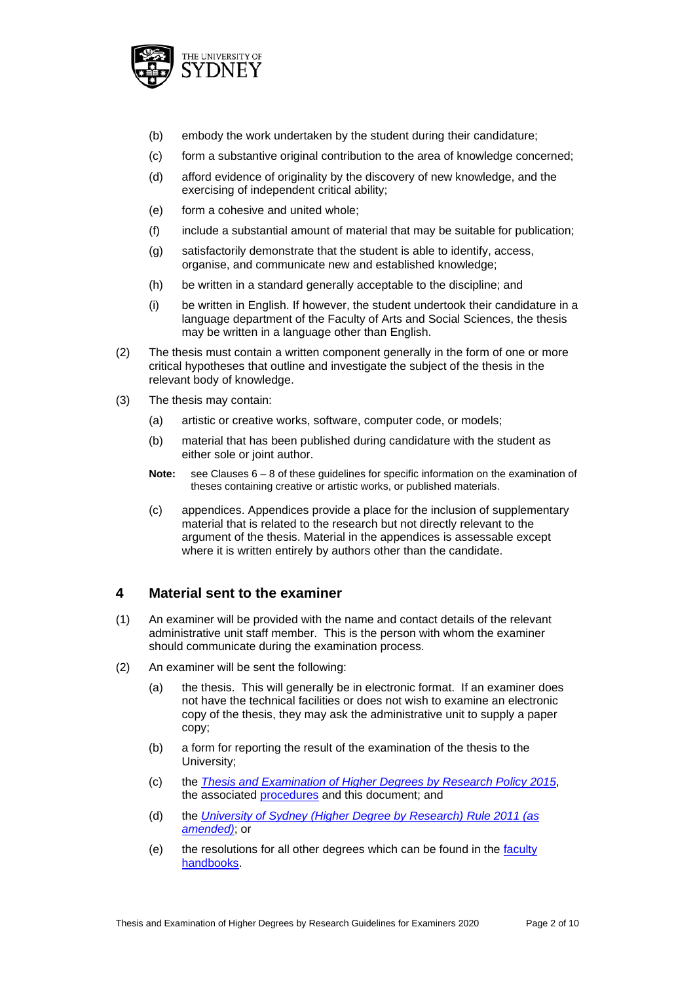

- (b) embody the work undertaken by the student during their candidature;
- (c) form a substantive original contribution to the area of knowledge concerned;
- (d) afford evidence of originality by the discovery of new knowledge, and the exercising of independent critical ability;
- (e) form a cohesive and united whole;
- (f) include a substantial amount of material that may be suitable for publication;
- (g) satisfactorily demonstrate that the student is able to identify, access, organise, and communicate new and established knowledge;
- (h) be written in a standard generally acceptable to the discipline; and
- (i) be written in English. If however, the student undertook their candidature in a language department of the Faculty of Arts and Social Sciences, the thesis may be written in a language other than English.
- (2) The thesis must contain a written component generally in the form of one or more critical hypotheses that outline and investigate the subject of the thesis in the relevant body of knowledge.
- (3) The thesis may contain:
	- (a) artistic or creative works, software, computer code, or models;
	- (b) material that has been published during candidature with the student as either sole or joint author.
	- **Note:** see Clauses 6 8 of these guidelines for specific information on the examination of theses containing creative or artistic works, or published materials.
	- (c) appendices. Appendices provide a place for the inclusion of supplementary material that is related to the research but not directly relevant to the argument of the thesis. Material in the appendices is assessable except where it is written entirely by authors other than the candidate.

# **4 Material sent to the examiner**

- (1) An examiner will be provided with the name and contact details of the relevant administrative unit staff member. This is the person with whom the examiner should communicate during the examination process.
- (2) An examiner will be sent the following:
	- (a) the thesis. This will generally be in electronic format. If an examiner does not have the technical facilities or does not wish to examine an electronic copy of the thesis, they may ask the administrative unit to supply a paper copy;
	- (b) a form for reporting the result of the examination of the thesis to the University;
	- (c) the *[Thesis and Examination of Higher Degrees by Research Policy 2015](http://sydney.edu.au/policies/showdoc.aspx?recnum=PDOC2014/374&RendNum=0)*, the associated [procedures](http://sydney.edu.au/policies/showdoc.aspx?recnum=PDOC2014/375&RendNum=0) and this document; and
	- (d) the *[University of Sydney \(Higher Degree by Research\) Rule 2011 \(as](http://sydney.edu.au/policies/showdoc.aspx?recnum=PDOC2011/226&RendNum=0)  [amended\)](http://sydney.edu.au/policies/showdoc.aspx?recnum=PDOC2011/226&RendNum=0)*; or
	- (e) the resolutions for all other degrees which can be found in the [faculty](http://sydney.edu.au/handbooks/)  [handbooks.](http://sydney.edu.au/handbooks/)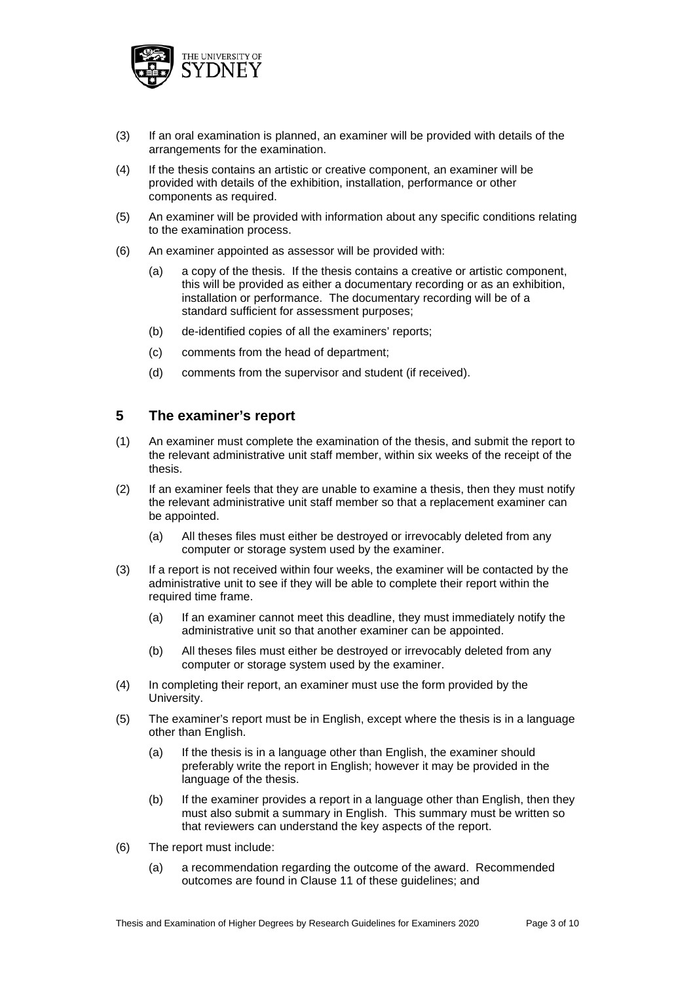

- (3) If an oral examination is planned, an examiner will be provided with details of the arrangements for the examination.
- (4) If the thesis contains an artistic or creative component, an examiner will be provided with details of the exhibition, installation, performance or other components as required.
- (5) An examiner will be provided with information about any specific conditions relating to the examination process.
- (6) An examiner appointed as assessor will be provided with:
	- (a) a copy of the thesis. If the thesis contains a creative or artistic component, this will be provided as either a documentary recording or as an exhibition, installation or performance. The documentary recording will be of a standard sufficient for assessment purposes;
	- (b) de-identified copies of all the examiners' reports;
	- (c) comments from the head of department;
	- (d) comments from the supervisor and student (if received).

# **5 The examiner's report**

- (1) An examiner must complete the examination of the thesis, and submit the report to the relevant administrative unit staff member, within six weeks of the receipt of the thesis.
- (2) If an examiner feels that they are unable to examine a thesis, then they must notify the relevant administrative unit staff member so that a replacement examiner can be appointed.
	- (a) All theses files must either be destroyed or irrevocably deleted from any computer or storage system used by the examiner.
- (3) If a report is not received within four weeks, the examiner will be contacted by the administrative unit to see if they will be able to complete their report within the required time frame.
	- (a) If an examiner cannot meet this deadline, they must immediately notify the administrative unit so that another examiner can be appointed.
	- (b) All theses files must either be destroyed or irrevocably deleted from any computer or storage system used by the examiner.
- (4) In completing their report, an examiner must use the form provided by the University.
- (5) The examiner's report must be in English, except where the thesis is in a language other than English.
	- (a) If the thesis is in a language other than English, the examiner should preferably write the report in English; however it may be provided in the language of the thesis.
	- (b) If the examiner provides a report in a language other than English, then they must also submit a summary in English. This summary must be written so that reviewers can understand the key aspects of the report.
- (6) The report must include:
	- (a) a recommendation regarding the outcome of the award. Recommended outcomes are found in Clause 11 of these guidelines; and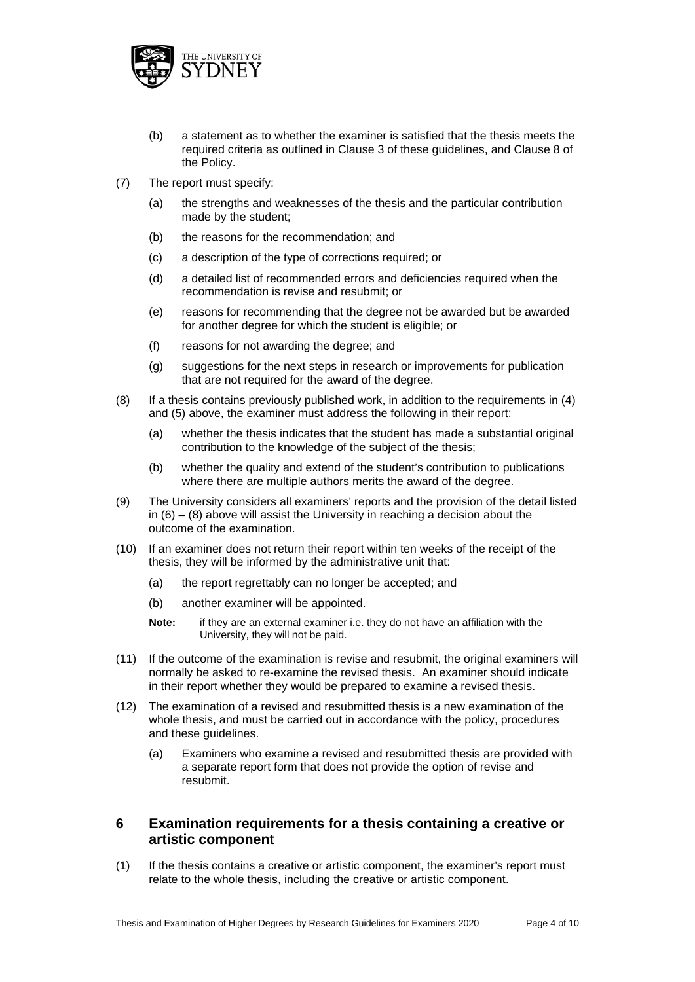

- (b) a statement as to whether the examiner is satisfied that the thesis meets the required criteria as outlined in Clause 3 of these guidelines, and Clause 8 of the Policy.
- (7) The report must specify:
	- (a) the strengths and weaknesses of the thesis and the particular contribution made by the student;
	- (b) the reasons for the recommendation; and
	- (c) a description of the type of corrections required; or
	- (d) a detailed list of recommended errors and deficiencies required when the recommendation is revise and resubmit; or
	- (e) reasons for recommending that the degree not be awarded but be awarded for another degree for which the student is eligible; or
	- (f) reasons for not awarding the degree; and
	- (g) suggestions for the next steps in research or improvements for publication that are not required for the award of the degree.
- (8) If a thesis contains previously published work, in addition to the requirements in (4) and (5) above, the examiner must address the following in their report:
	- (a) whether the thesis indicates that the student has made a substantial original contribution to the knowledge of the subject of the thesis;
	- (b) whether the quality and extend of the student's contribution to publications where there are multiple authors merits the award of the degree.
- (9) The University considers all examiners' reports and the provision of the detail listed in  $(6) - (8)$  above will assist the University in reaching a decision about the outcome of the examination.
- (10) If an examiner does not return their report within ten weeks of the receipt of the thesis, they will be informed by the administrative unit that:
	- (a) the report regrettably can no longer be accepted; and
	- (b) another examiner will be appointed.
	- **Note:** if they are an external examiner i.e. they do not have an affiliation with the University, they will not be paid.
- (11) If the outcome of the examination is revise and resubmit, the original examiners will normally be asked to re-examine the revised thesis. An examiner should indicate in their report whether they would be prepared to examine a revised thesis.
- (12) The examination of a revised and resubmitted thesis is a new examination of the whole thesis, and must be carried out in accordance with the policy, procedures and these guidelines.
	- (a) Examiners who examine a revised and resubmitted thesis are provided with a separate report form that does not provide the option of revise and resubmit.

# **6 Examination requirements for a thesis containing a creative or artistic component**

(1) If the thesis contains a creative or artistic component, the examiner's report must relate to the whole thesis, including the creative or artistic component.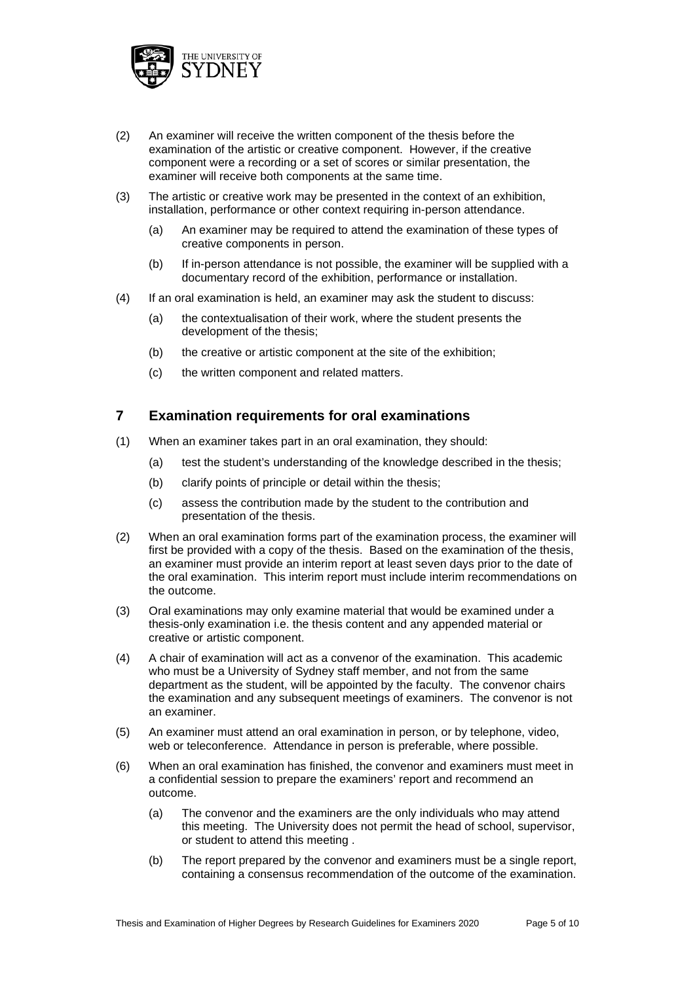

- (2) An examiner will receive the written component of the thesis before the examination of the artistic or creative component. However, if the creative component were a recording or a set of scores or similar presentation, the examiner will receive both components at the same time.
- (3) The artistic or creative work may be presented in the context of an exhibition, installation, performance or other context requiring in-person attendance.
	- (a) An examiner may be required to attend the examination of these types of creative components in person.
	- (b) If in-person attendance is not possible, the examiner will be supplied with a documentary record of the exhibition, performance or installation.
- (4) If an oral examination is held, an examiner may ask the student to discuss:
	- (a) the contextualisation of their work, where the student presents the development of the thesis;
	- (b) the creative or artistic component at the site of the exhibition;
	- (c) the written component and related matters.

## **7 Examination requirements for oral examinations**

- (1) When an examiner takes part in an oral examination, they should:
	- (a) test the student's understanding of the knowledge described in the thesis;
	- (b) clarify points of principle or detail within the thesis;
	- (c) assess the contribution made by the student to the contribution and presentation of the thesis.
- (2) When an oral examination forms part of the examination process, the examiner will first be provided with a copy of the thesis. Based on the examination of the thesis, an examiner must provide an interim report at least seven days prior to the date of the oral examination. This interim report must include interim recommendations on the outcome.
- (3) Oral examinations may only examine material that would be examined under a thesis-only examination i.e. the thesis content and any appended material or creative or artistic component.
- (4) A chair of examination will act as a convenor of the examination. This academic who must be a University of Sydney staff member, and not from the same department as the student, will be appointed by the faculty. The convenor chairs the examination and any subsequent meetings of examiners. The convenor is not an examiner.
- (5) An examiner must attend an oral examination in person, or by telephone, video, web or teleconference. Attendance in person is preferable, where possible.
- (6) When an oral examination has finished, the convenor and examiners must meet in a confidential session to prepare the examiners' report and recommend an outcome.
	- (a) The convenor and the examiners are the only individuals who may attend this meeting. The University does not permit the head of school, supervisor, or student to attend this meeting .
	- (b) The report prepared by the convenor and examiners must be a single report, containing a consensus recommendation of the outcome of the examination.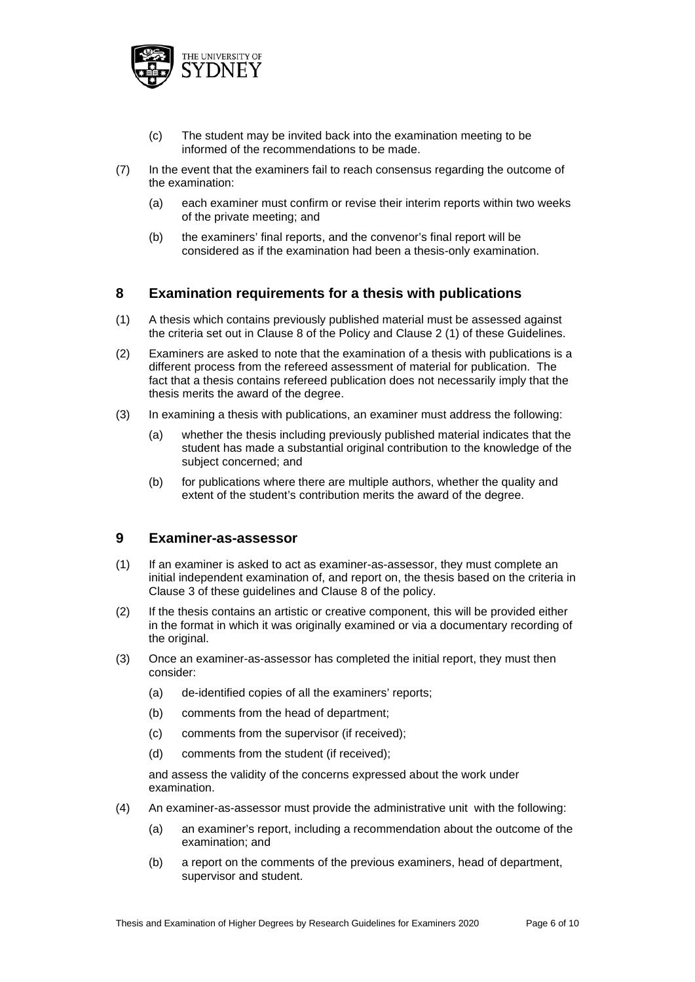

- (c) The student may be invited back into the examination meeting to be informed of the recommendations to be made.
- (7) In the event that the examiners fail to reach consensus regarding the outcome of the examination:
	- (a) each examiner must confirm or revise their interim reports within two weeks of the private meeting; and
	- (b) the examiners' final reports, and the convenor's final report will be considered as if the examination had been a thesis-only examination.

# **8 Examination requirements for a thesis with publications**

- (1) A thesis which contains previously published material must be assessed against the criteria set out in Clause 8 of the Policy and Clause 2 (1) of these Guidelines.
- (2) Examiners are asked to note that the examination of a thesis with publications is a different process from the refereed assessment of material for publication. The fact that a thesis contains refereed publication does not necessarily imply that the thesis merits the award of the degree.
- (3) In examining a thesis with publications, an examiner must address the following:
	- (a) whether the thesis including previously published material indicates that the student has made a substantial original contribution to the knowledge of the subject concerned; and
	- (b) for publications where there are multiple authors, whether the quality and extent of the student's contribution merits the award of the degree.

## **9 Examiner-as-assessor**

- (1) If an examiner is asked to act as examiner-as-assessor, they must complete an initial independent examination of, and report on, the thesis based on the criteria in Clause 3 of these guidelines and Clause 8 of the policy.
- (2) If the thesis contains an artistic or creative component, this will be provided either in the format in which it was originally examined or via a documentary recording of the original.
- (3) Once an examiner-as-assessor has completed the initial report, they must then consider:
	- (a) de-identified copies of all the examiners' reports;
	- (b) comments from the head of department;
	- (c) comments from the supervisor (if received);
	- (d) comments from the student (if received);

and assess the validity of the concerns expressed about the work under examination.

- (4) An examiner-as-assessor must provide the administrative unit with the following:
	- (a) an examiner's report, including a recommendation about the outcome of the examination; and
	- (b) a report on the comments of the previous examiners, head of department, supervisor and student.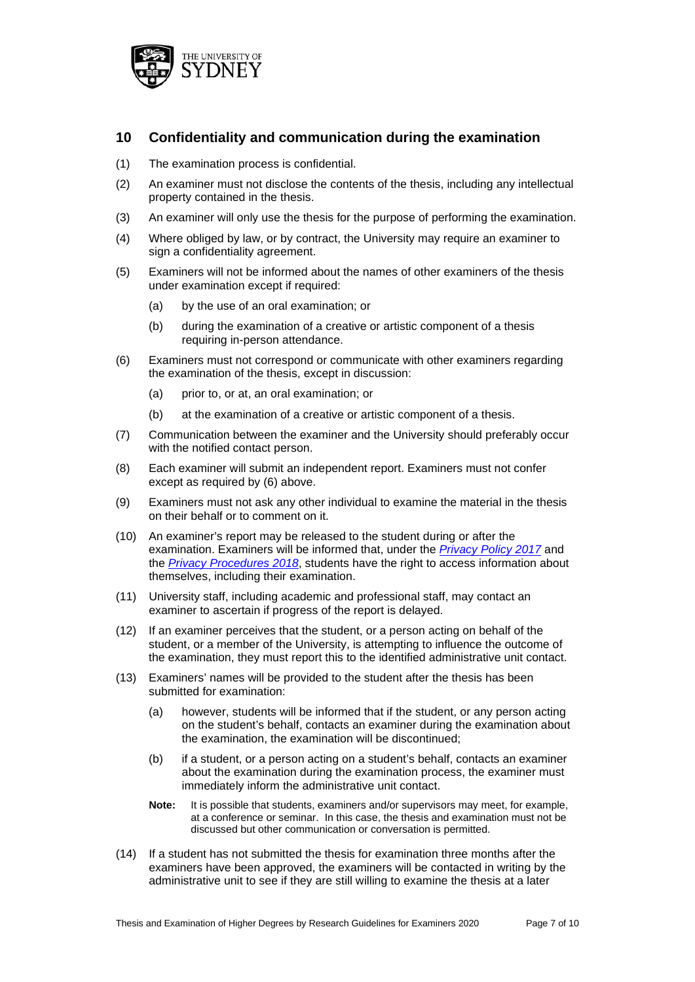

# **10 Confidentiality and communication during the examination**

- (1) The examination process is confidential.
- (2) An examiner must not disclose the contents of the thesis, including any intellectual property contained in the thesis.
- (3) An examiner will only use the thesis for the purpose of performing the examination.
- (4) Where obliged by law, or by contract, the University may require an examiner to sign a confidentiality agreement.
- (5) Examiners will not be informed about the names of other examiners of the thesis under examination except if required:
	- (a) by the use of an oral examination; or
	- (b) during the examination of a creative or artistic component of a thesis requiring in-person attendance.
- (6) Examiners must not correspond or communicate with other examiners regarding the examination of the thesis, except in discussion:
	- (a) prior to, or at, an oral examination; or
	- (b) at the examination of a creative or artistic component of a thesis.
- (7) Communication between the examiner and the University should preferably occur with the notified contact person.
- (8) Each examiner will submit an independent report. Examiners must not confer except as required by (6) above.
- (9) Examiners must not ask any other individual to examine the material in the thesis on their behalf or to comment on it.
- (10) An examiner's report may be released to the student during or after the examination. Examiners will be informed that, under the *[Privacy Policy 2017](http://sydney.edu.au/policies/showdoc.aspx?recnum=PDOC2011/81&RendNum=0)* and the *[Privacy Procedures 2018](http://sydney.edu.au/policies/showdoc.aspx?recnum=PDOC2018/468&RendNum=0)*, students have the right to access information about themselves, including their examination.
- (11) University staff, including academic and professional staff, may contact an examiner to ascertain if progress of the report is delayed.
- (12) If an examiner perceives that the student, or a person acting on behalf of the student, or a member of the University, is attempting to influence the outcome of the examination, they must report this to the identified administrative unit contact.
- (13) Examiners' names will be provided to the student after the thesis has been submitted for examination:
	- (a) however, students will be informed that if the student, or any person acting on the student's behalf, contacts an examiner during the examination about the examination, the examination will be discontinued;
	- (b) if a student, or a person acting on a student's behalf, contacts an examiner about the examination during the examination process, the examiner must immediately inform the administrative unit contact.
	- **Note:** It is possible that students, examiners and/or supervisors may meet, for example, at a conference or seminar. In this case, the thesis and examination must not be discussed but other communication or conversation is permitted.
- (14) If a student has not submitted the thesis for examination three months after the examiners have been approved, the examiners will be contacted in writing by the administrative unit to see if they are still willing to examine the thesis at a later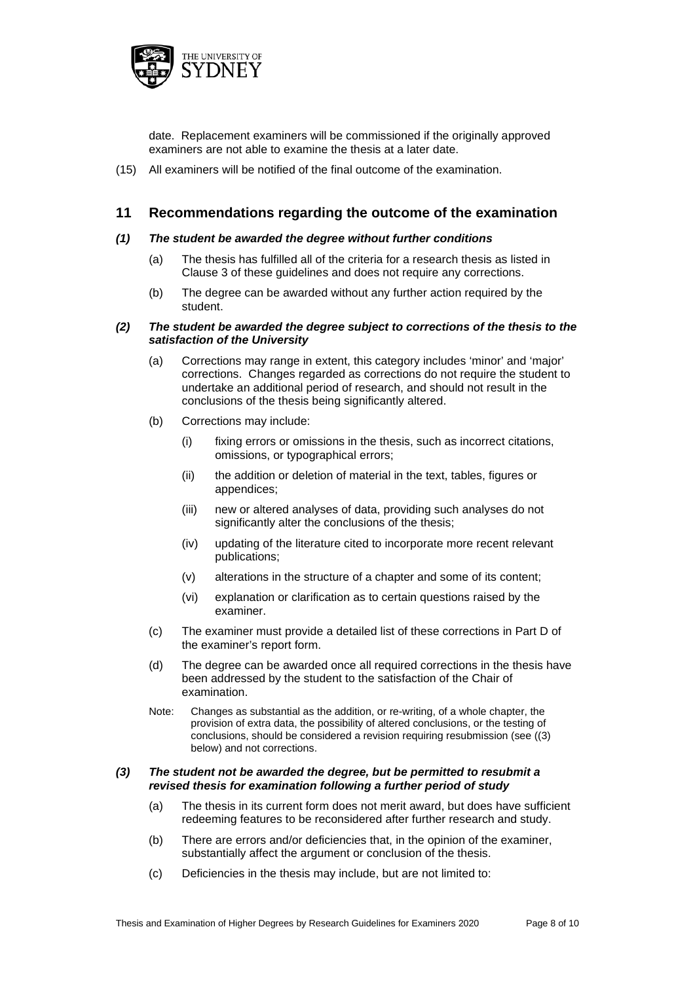

date. Replacement examiners will be commissioned if the originally approved examiners are not able to examine the thesis at a later date.

(15) All examiners will be notified of the final outcome of the examination.

# **11 Recommendations regarding the outcome of the examination**

#### *(1) The student be awarded the degree without further conditions*

- (a) The thesis has fulfilled all of the criteria for a research thesis as listed in Clause 3 of these guidelines and does not require any corrections.
- (b) The degree can be awarded without any further action required by the student.

#### *(2) The student be awarded the degree subject to corrections of the thesis to the satisfaction of the University*

- (a) Corrections may range in extent, this category includes 'minor' and 'major' corrections. Changes regarded as corrections do not require the student to undertake an additional period of research, and should not result in the conclusions of the thesis being significantly altered.
- (b) Corrections may include:
	- (i) fixing errors or omissions in the thesis, such as incorrect citations, omissions, or typographical errors;
	- (ii) the addition or deletion of material in the text, tables, figures or appendices;
	- (iii) new or altered analyses of data, providing such analyses do not significantly alter the conclusions of the thesis;
	- (iv) updating of the literature cited to incorporate more recent relevant publications;
	- (v) alterations in the structure of a chapter and some of its content;
	- (vi) explanation or clarification as to certain questions raised by the examiner.
- (c) The examiner must provide a detailed list of these corrections in Part D of the examiner's report form.
- (d) The degree can be awarded once all required corrections in the thesis have been addressed by the student to the satisfaction of the Chair of examination.
- Note: Changes as substantial as the addition, or re-writing, of a whole chapter, the provision of extra data, the possibility of altered conclusions, or the testing of conclusions, should be considered a revision requiring resubmission (see ((3) below) and not corrections.

#### *(3) The student not be awarded the degree, but be permitted to resubmit a revised thesis for examination following a further period of study*

- (a) The thesis in its current form does not merit award, but does have sufficient redeeming features to be reconsidered after further research and study.
- (b) There are errors and/or deficiencies that, in the opinion of the examiner, substantially affect the argument or conclusion of the thesis.
- (c) Deficiencies in the thesis may include, but are not limited to: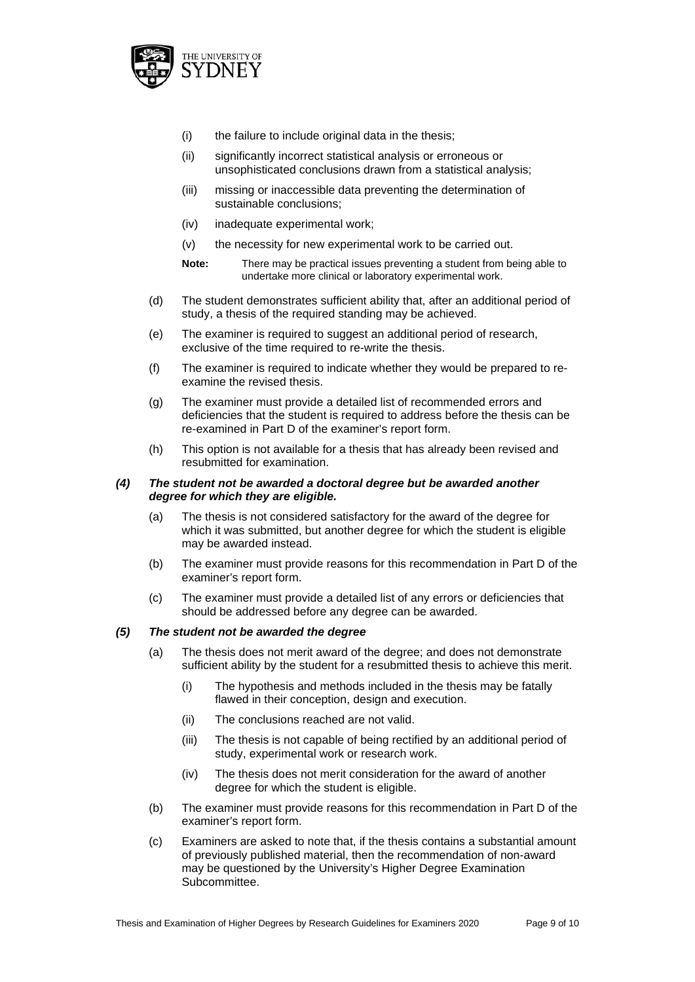

- (i) the failure to include original data in the thesis;
- (ii) significantly incorrect statistical analysis or erroneous or unsophisticated conclusions drawn from a statistical analysis;
- (iii) missing or inaccessible data preventing the determination of sustainable conclusions;
- (iv) inadequate experimental work;
- (v) the necessity for new experimental work to be carried out.
- **Note:** There may be practical issues preventing a student from being able to undertake more clinical or laboratory experimental work.
- (d) The student demonstrates sufficient ability that, after an additional period of study, a thesis of the required standing may be achieved.
- (e) The examiner is required to suggest an additional period of research, exclusive of the time required to re-write the thesis.
- (f) The examiner is required to indicate whether they would be prepared to reexamine the revised thesis.
- (g) The examiner must provide a detailed list of recommended errors and deficiencies that the student is required to address before the thesis can be re-examined in Part D of the examiner's report form.
- (h) This option is not available for a thesis that has already been revised and resubmitted for examination.

#### *(4) The student not be awarded a doctoral degree but be awarded another degree for which they are eligible.*

- (a) The thesis is not considered satisfactory for the award of the degree for which it was submitted, but another degree for which the student is eligible may be awarded instead.
- (b) The examiner must provide reasons for this recommendation in Part D of the examiner's report form.
- (c) The examiner must provide a detailed list of any errors or deficiencies that should be addressed before any degree can be awarded.

#### *(5) The student not be awarded the degree*

- (a) The thesis does not merit award of the degree; and does not demonstrate sufficient ability by the student for a resubmitted thesis to achieve this merit.
	- (i) The hypothesis and methods included in the thesis may be fatally flawed in their conception, design and execution.
	- (ii) The conclusions reached are not valid.
	- (iii) The thesis is not capable of being rectified by an additional period of study, experimental work or research work.
	- (iv) The thesis does not merit consideration for the award of another degree for which the student is eligible.
- (b) The examiner must provide reasons for this recommendation in Part D of the examiner's report form.
- (c) Examiners are asked to note that, if the thesis contains a substantial amount of previously published material, then the recommendation of non-award may be questioned by the University's Higher Degree Examination Subcommittee.